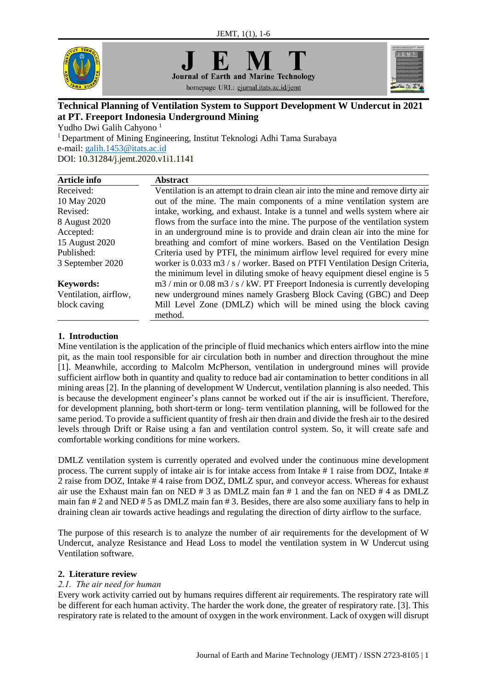

**Journal of Earth and Marine Technology** homepage URL: ejurnal.itats.ac.id/jemt



# **Technical Planning of Ventilation System to Support Development W Undercut in 2021 at PT. Freeport Indonesia Underground Mining**

Yudho Dwi Galih Cahyono<sup>1</sup>

<sup>1</sup>Department of Mining Engineering, Institut Teknologi Adhi Tama Surabaya e-mail: [galih.1453@itats.ac.id](mailto:galih.1453@itats.ac.id) DOI: [10.31284/j.jemt.2020.v1i1.1141](https://doi.org/10.31284/j.jemt.2020.v1i1.1141)

| Article info          | <b>Abstract</b>                                                                                                 |
|-----------------------|-----------------------------------------------------------------------------------------------------------------|
| Received:             | Ventilation is an attempt to drain clean air into the mine and remove dirty air                                 |
| 10 May 2020           | out of the mine. The main components of a mine ventilation system are                                           |
| Revised:              | intake, working, and exhaust. Intake is a tunnel and wells system where air                                     |
| 8 August 2020         | flows from the surface into the mine. The purpose of the ventilation system                                     |
| Accepted:             | in an underground mine is to provide and drain clean air into the mine for                                      |
| 15 August 2020        | breathing and comfort of mine workers. Based on the Ventilation Design                                          |
| Published:            | Criteria used by PTFI, the minimum airflow level required for every mine                                        |
| 3 September 2020      | worker is 0.033 m3 / s / worker. Based on PTFI Ventilation Design Criteria,                                     |
|                       | the minimum level in diluting smoke of heavy equipment diesel engine is 5                                       |
| <b>Keywords:</b>      | $\text{m}3/\text{min}$ or 0.08 m $\text{m}3/\text{s}/\text{kW}$ . PT Freeport Indonesia is currently developing |
| Ventilation, airflow, | new underground mines namely Grasberg Block Caving (GBC) and Deep                                               |
| block caving          | Mill Level Zone (DMLZ) which will be mined using the block caving<br>method.                                    |

## **1. Introduction**

Mine ventilation is the application of the principle of fluid mechanics which enters airflow into the mine pit, as the main tool responsible for air circulation both in number and direction throughout the mine [1]. Meanwhile, according to Malcolm McPherson, ventilation in underground mines will provide sufficient airflow both in quantity and quality to reduce bad air contamination to better conditions in all mining areas [2]. In the planning of development W Undercut, ventilation planning is also needed. This is because the development engineer's plans cannot be worked out if the air is insufficient. Therefore, for development planning, both short-term or long- term ventilation planning, will be followed for the same period. To provide a sufficient quantity of fresh air then drain and divide the fresh air to the desired levels through Drift or Raise using a fan and ventilation control system. So, it will create safe and comfortable working conditions for mine workers.

DMLZ ventilation system is currently operated and evolved under the continuous mine development process. The current supply of intake air is for intake access from Intake # 1 raise from DOZ, Intake # 2 raise from DOZ, Intake # 4 raise from DOZ, DMLZ spur, and conveyor access. Whereas for exhaust air use the Exhaust main fan on NED # 3 as DMLZ main fan # 1 and the fan on NED # 4 as DMLZ main fan # 2 and NED # 5 as DMLZ main fan # 3. Besides, there are also some auxiliary fans to help in draining clean air towards active headings and regulating the direction of dirty airflow to the surface.

The purpose of this research is to analyze the number of air requirements for the development of W Undercut, analyze Resistance and Head Loss to model the ventilation system in W Undercut using Ventilation software.

## **2. Literature review**

## *2.1. The air need for human*

Every work activity carried out by humans requires different air requirements. The respiratory rate will be different for each human activity. The harder the work done, the greater of respiratory rate. [3]. This respiratory rate is related to the amount of oxygen in the work environment. Lack of oxygen will disrupt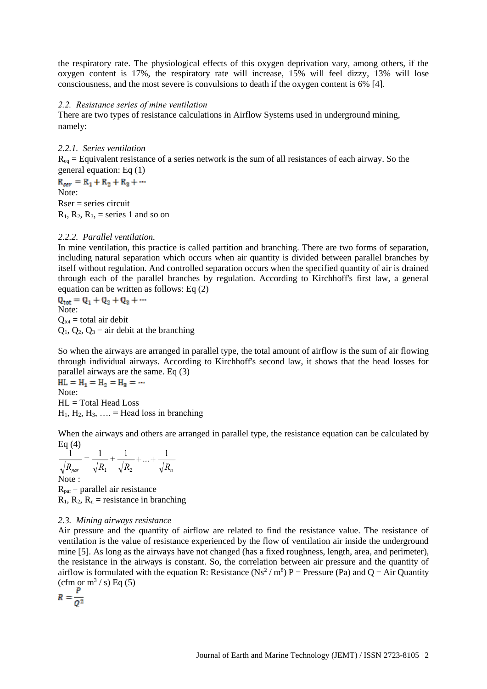the respiratory rate. The physiological effects of this oxygen deprivation vary, among others, if the oxygen content is 17%, the respiratory rate will increase, 15% will feel dizzy, 13% will lose consciousness, and the most severe is convulsions to death if the oxygen content is 6% [4].

#### *2.2. Resistance series of mine ventilation*

There are two types of resistance calculations in Airflow Systems used in underground mining, namely:

## *2.2.1. Series ventilation*

 $R_{eq}$  = Equivalent resistance of a series network is the sum of all resistances of each airway. So the general equation: Eq (1)

 $R_{ser} = R_1 + R_2 + R_3 + \cdots$ Note:  $Rser = series circuit$  $R_1$ ,  $R_2$ ,  $R_3$ , = series 1 and so on

## *2.2.2. Parallel ventilation.*

In mine ventilation, this practice is called partition and branching. There are two forms of separation, including natural separation which occurs when air quantity is divided between parallel branches by itself without regulation. And controlled separation occurs when the specified quantity of air is drained through each of the parallel branches by regulation. According to Kirchhoff's first law, a general equation can be written as follows: Eq (2)

 $Q_{\text{tot}} = Q_1 + Q_2 + Q_3 + \cdots$ Note:  $Q_{\text{tot}} = \text{total air debt}$  $Q_1$ ,  $Q_2$ ,  $Q_3$  = air debit at the branching

So when the airways are arranged in parallel type, the total amount of airflow is the sum of air flowing through individual airways. According to Kirchhoff's second law, it shows that the head losses for parallel airways are the same. Eq (3)

 $HL = H_1 = H_2 = H_3 = \cdots$ Note: HL = Total Head Loss  $H_1, H_2, H_3, \ldots$  = Head loss in branching

When the airways and others are arranged in parallel type, the resistance equation can be calculated by Eq  $(4)$ 

$$
\frac{1}{\sqrt{R_{par}}} = \frac{1}{\sqrt{R_1}} + \frac{1}{\sqrt{R_2}} + ... + \frac{1}{\sqrt{R_n}}
$$
  
Note :  
R<sub>par</sub> = parallel air resistance

 $R_1$ ,  $R_2$ ,  $R_n$  = resistance in branching

## *2.3. Mining airways resistance*

Air pressure and the quantity of airflow are related to find the resistance value. The resistance of ventilation is the value of resistance experienced by the flow of ventilation air inside the underground mine [5]. As long as the airways have not changed (has a fixed roughness, length, area, and perimeter), the resistance in the airways is constant. So, the correlation between air pressure and the quantity of airflow is formulated with the equation R: Resistance (Ns<sup>2</sup>/m<sup>8</sup>) P = Pressure (Pa) and Q = Air Quantity (cfm or  $m^3/$  s) Eq (5)

$$
R=\frac{P}{Q^2}
$$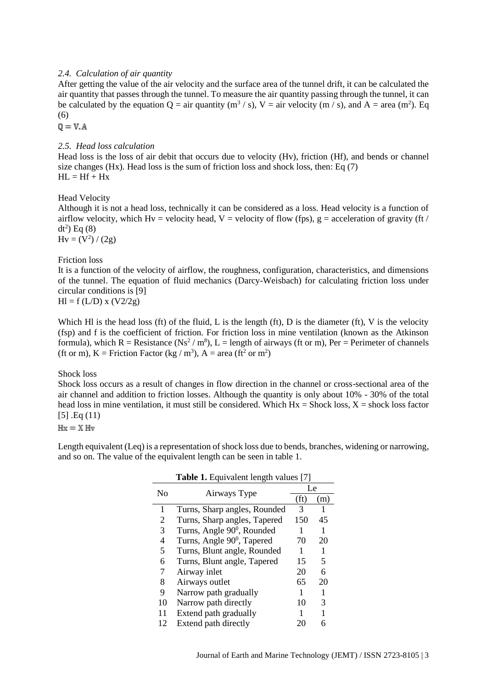## *2.4. Calculation of air quantity*

After getting the value of the air velocity and the surface area of the tunnel drift, it can be calculated the air quantity that passes through the tunnel. To measure the air quantity passing through the tunnel, it can be calculated by the equation  $Q = \text{air quantity (m}^3 / s)$ ,  $V = \text{air velocity (m / s)}$ , and  $A = \text{area (m}^2)$ . Eq (6)

 $Q = V.A$ 

### *2.5. Head loss calculation*

Head loss is the loss of air debit that occurs due to velocity (Hv), friction (Hf), and bends or channel size changes (Hx). Head loss is the sum of friction loss and shock loss, then: Eq  $(7)$  $HI = Hf + Hx$ 

### Head Velocity

Although it is not a head loss, technically it can be considered as a loss. Head velocity is a function of airflow velocity, which Hv = velocity head, V = velocity of flow (fps),  $g =$  acceleration of gravity (ft /  $dt^2$ ) Eq  $(8)$ 

 $Hv = (V^2) / (2g)$ 

#### Friction loss

It is a function of the velocity of airflow, the roughness, configuration, characteristics, and dimensions of the tunnel. The equation of fluid mechanics (Darcy-Weisbach) for calculating friction loss under circular conditions is [9]

 $H = f (L/D) x (V2/2g)$ 

Which Hl is the head loss (ft) of the fluid, L is the length (ft), D is the diameter (ft), V is the velocity (fsp) and f is the coefficient of friction. For friction loss in mine ventilation (known as the Atkinson formula), which R = Resistance (Ns<sup>2</sup> / m<sup>8</sup>), L = length of airways (ft or m), Per = Perimeter of channels (ft or m),  $K =$  Friction Factor (kg / m<sup>3</sup>),  $A =$  area (ft<sup>2</sup> or m<sup>2</sup>)

Shock loss

Shock loss occurs as a result of changes in flow direction in the channel or cross-sectional area of the air channel and addition to friction losses. Although the quantity is only about 10% - 30% of the total head loss in mine ventilation, it must still be considered. Which  $Hx = \text{Shock loss}, X = \text{shock loss factor}$ [5] .Eq (11)

 $Hx = X Hv$ 

Length equivalent (Leq) is a representation of shock loss due to bends, branches, widening or narrowing, and so on. The value of the equivalent length can be seen in table 1.

|    | Table 1. Equivalent length values [7]  |      |     |  |  |  |  |
|----|----------------------------------------|------|-----|--|--|--|--|
| No |                                        |      | Le  |  |  |  |  |
|    | Airways Type                           | (ft) | (m) |  |  |  |  |
| 1  | Turns, Sharp angles, Rounded           | 3    | 1   |  |  |  |  |
| 2  | Turns, Sharp angles, Tapered           | 150  | 45  |  |  |  |  |
| 3  | Turns, Angle 90 <sup>0</sup> , Rounded | 1    | 1   |  |  |  |  |
| 4  | Turns, Angle 90 <sup>0</sup> , Tapered | 70   | 20  |  |  |  |  |
| 5  | Turns, Blunt angle, Rounded            | 1    | 1   |  |  |  |  |
| 6  | Turns, Blunt angle, Tapered            | 15   | 5   |  |  |  |  |
| 7  | Airway inlet                           | 20   | 6   |  |  |  |  |
| 8  | Airways outlet                         | 65   | 20  |  |  |  |  |
| 9  | Narrow path gradually                  |      | 1   |  |  |  |  |
| 10 | Narrow path directly                   | 10   | 3   |  |  |  |  |
| 11 | Extend path gradually                  |      | 1   |  |  |  |  |
| 12 | Extend path directly                   | 20   | 6   |  |  |  |  |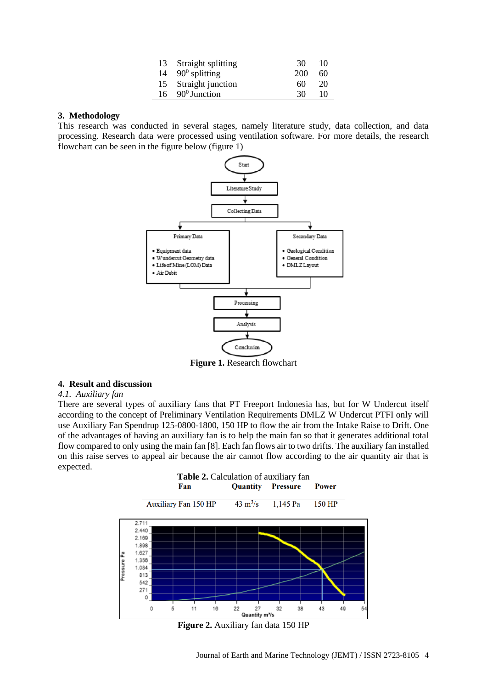| 13 | Straight splitting     | 30  | 10 |
|----|------------------------|-----|----|
| 14 | $90^{\circ}$ splitting | 200 | 60 |
|    | 15 Straight junction   | 60  | 20 |
| 16 | $90^0$ Junction        | 30  | 10 |

#### **3. Methodology**

This research was conducted in several stages, namely literature study, data collection, and data processing. Research data were processed using ventilation software. For more details, the research flowchart can be seen in the figure below (figure 1)



**Figure 1.** Research flowchart

## **4. Result and discussion**

#### *4.1. Auxiliary fan*

There are several types of auxiliary fans that PT Freeport Indonesia has, but for W Undercut itself according to the concept of Preliminary Ventilation Requirements DMLZ W Undercut PTFI only will use Auxiliary Fan Spendrup 125-0800-1800, 150 HP to flow the air from the Intake Raise to Drift. One of the advantages of having an auxiliary fan is to help the main fan so that it generates additional total flow compared to only using the main fan [8]. Each fan flows air to two drifts. The auxiliary fan installed on this raise serves to appeal air because the air cannot flow according to the air quantity air that is expected.



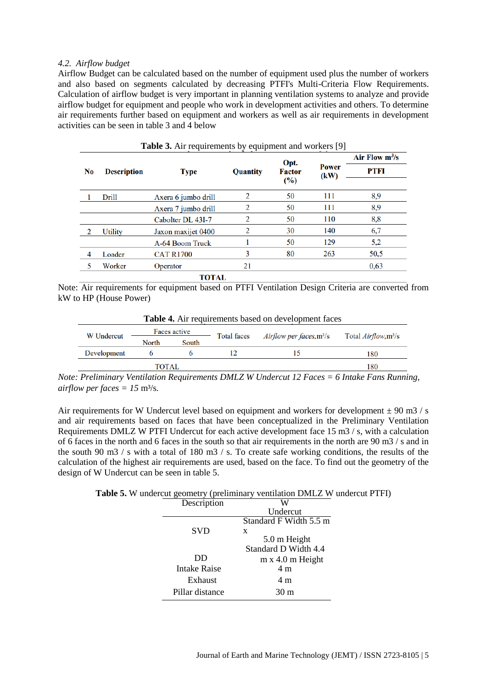### *4.2. Airflow budget*

Airflow Budget can be calculated based on the number of equipment used plus the number of workers and also based on segments calculated by decreasing PTFI's Multi-Criteria Flow Requirements. Calculation of airflow budget is very important in planning ventilation systems to analyze and provide airflow budget for equipment and people who work in development activities and others. To determine air requirements further based on equipment and workers as well as air requirements in development activities can be seen in table 3 and 4 below

|                |                    |                     |          | Opt.                    |                      | Air Flow $m^3/s$ |
|----------------|--------------------|---------------------|----------|-------------------------|----------------------|------------------|
| N <sub>0</sub> | <b>Description</b> | Type                | Quantity | <b>Factor</b><br>$(\%)$ | <b>Power</b><br>(kW) | PTFI             |
|                |                    |                     |          |                         |                      |                  |
|                | Drill              | Axera 6 jumbo drill | 2        | 50                      | 111                  | 8,9              |
|                |                    | Axera 7 jumbo drill | 2        | 50                      | 111                  | 8,9              |
|                |                    | Cabolter DL 43I-7   | 2        | 50                      | 110                  | 8,8              |
| $\overline{2}$ | Utility            | Jaxon maxijet 0400  | 2        | 30                      | 140                  | 6,7              |
|                |                    | A-64 Boom Truck     |          | 50                      | 129                  | 5,2              |
| 4              | Loader             | <b>CAT R1700</b>    | 3        | 80                      | 263                  | 50,5             |
| 5              | Worker             | Operator            | 21       |                         |                      | 0.63             |
|                |                    | <b>TOTAL</b>        |          |                         |                      |                  |

| Table 3. Air requirements by equipment and workers [9] |  |  |  |
|--------------------------------------------------------|--|--|--|
|--------------------------------------------------------|--|--|--|

Note: Air requirements for equipment based on PTFI Ventilation Design Criteria are converted from kW to HP (House Power)

| <b>Table 4.</b> Air requirements based on development faces |              |       |             |                                          |                                          |  |
|-------------------------------------------------------------|--------------|-------|-------------|------------------------------------------|------------------------------------------|--|
| <b>W</b> Undercut                                           | Faces active |       | Total faces | <i>Airflow per faces,m<sup>3</sup>/s</i> | Total <i>Airflow</i> , m <sup>3</sup> /s |  |
|                                                             | North        | South |             |                                          |                                          |  |
| Development                                                 |              |       |             |                                          | 180                                      |  |
| TOTAL                                                       |              |       |             | 180                                      |                                          |  |

*Note: Preliminary Ventilation Requirements DMLZ W Undercut 12 Faces = 6 Intake Fans Running, airflow per faces =*  $15 \text{ m}^3\text{/s}$ *.* 

Air requirements for W Undercut level based on equipment and workers for development  $\pm$  90 m3 / s and air requirements based on faces that have been conceptualized in the Preliminary Ventilation Requirements DMLZ W PTFI Undercut for each active development face 15 m3 / s, with a calculation of 6 faces in the north and 6 faces in the south so that air requirements in the north are 90 m3 / s and in the south 90 m3 / s with a total of 180 m3 / s. To create safe working conditions, the results of the calculation of the highest air requirements are used, based on the face. To find out the geometry of the design of W Undercut can be seen in table 5.

**Table 5.** W undercut geometry (preliminary ventilation DMLZ W undercut PTFI)

| Standard F Width 5.5 m |
|------------------------|
|                        |
|                        |
|                        |
|                        |
|                        |
|                        |
|                        |
| Standard D Width 4.4   |